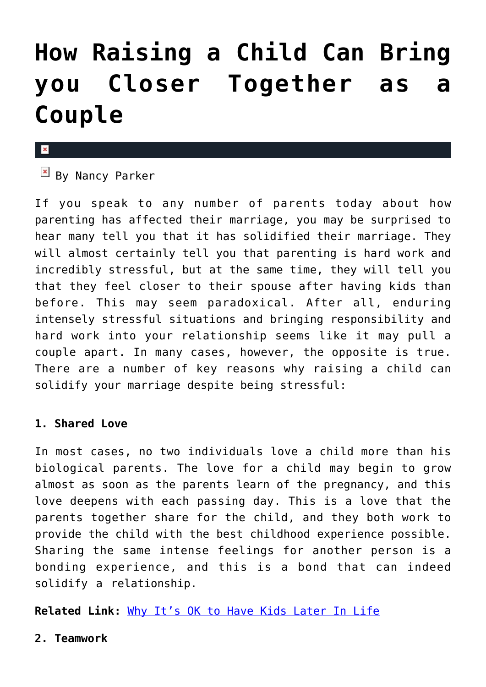# **[How Raising a Child Can Bring](https://cupidspulse.com/38660/raising-child-bring-you-closer-together-couple/) [you Closer Together as a](https://cupidspulse.com/38660/raising-child-bring-you-closer-together-couple/) [Couple](https://cupidspulse.com/38660/raising-child-bring-you-closer-together-couple/)**

#### $\overline{\mathbf{x}}$

 $By$  Nancy Parker

If you speak to any number of parents today about how parenting has affected their marriage, you may be surprised to hear many tell you that it has solidified their marriage. They will almost certainly tell you that parenting is hard work and incredibly stressful, but at the same time, they will tell you that they feel closer to their spouse after having kids than before. This may seem paradoxical. After all, enduring intensely stressful situations and bringing responsibility and hard work into your relationship seems like it may pull a couple apart. In many cases, however, the opposite is true. There are a number of key reasons why raising a child can solidify your marriage despite being stressful:

#### **1. Shared Love**

In most cases, no two individuals love a child more than his biological parents. The love for a child may begin to grow almost as soon as the parents learn of the pregnancy, and this love deepens with each passing day. This is a love that the parents together share for the child, and they both work to provide the child with the best childhood experience possible. Sharing the same intense feelings for another person is a bonding experience, and this is a bond that can indeed solidify a relationship.

**Related Link:** [Why It's OK to Have Kids Later In Life](http://cupidspulse.com/kids-later-in-life/)

**2. Teamwork**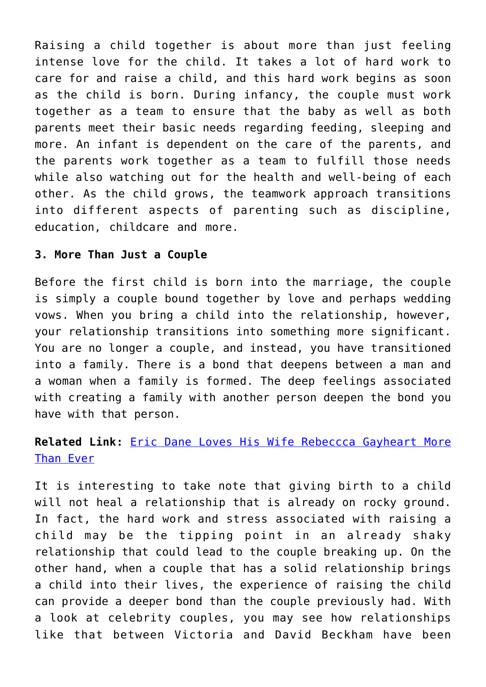Raising a child together is about more than just feeling intense love for the child. It takes a lot of hard work to care for and raise a child, and this hard work begins as soon as the child is born. During infancy, the couple must work together as a team to ensure that the baby as well as both parents meet their basic needs regarding feeding, sleeping and more. An infant is dependent on the care of the parents, and the parents work together as a team to fulfill those needs while also watching out for the health and well-being of each other. As the child grows, the teamwork approach transitions into different aspects of parenting such as discipline, education, childcare and more.

### **3. More Than Just a Couple**

Before the first child is born into the marriage, the couple is simply a couple bound together by love and perhaps wedding vows. When you bring a child into the relationship, however, your relationship transitions into something more significant. You are no longer a couple, and instead, you have transitioned into a family. There is a bond that deepens between a man and a woman when a family is formed. The deep feelings associated with creating a family with another person deepen the bond you have with that person.

## **Related Link:** [Eric Dane Loves His Wife Rebeccca Gayheart More](http://cupidspulse.com/eric-dane-greys-anatomy-loves-his-wife-rebeccca-gayheart-more-than-ever-after-motherhood/) [Than Ever](http://cupidspulse.com/eric-dane-greys-anatomy-loves-his-wife-rebeccca-gayheart-more-than-ever-after-motherhood/)

It is interesting to take note that giving birth to a child will not heal a relationship that is already on rocky ground. In fact, the hard work and stress associated with raising a child may be the tipping point in an already shaky relationship that could lead to the couple breaking up. On the other hand, when a couple that has a solid relationship brings a child into their lives, the experience of raising the child can provide a deeper bond than the couple previously had. With a look at celebrity couples, you may see how relationships like that between Victoria and David Beckham have been